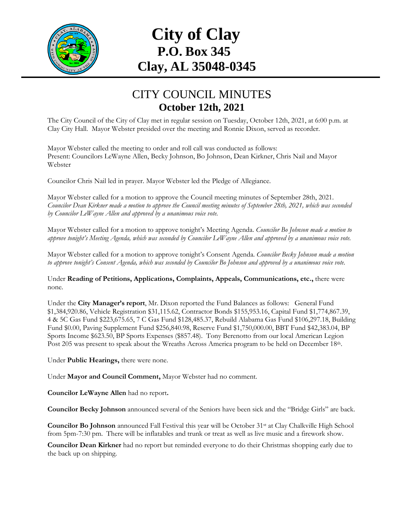

## **City of Clay P.O. Box 345 Clay, AL 35048-0345**

## CITY COUNCIL MINUTES **October 12th, 2021**

The City Council of the City of Clay met in regular session on Tuesday, October 12th, 2021, at 6:00 p.m. at Clay City Hall. Mayor Webster presided over the meeting and Ronnie Dixon, served as recorder.

Mayor Webster called the meeting to order and roll call was conducted as follows: Present: Councilors LeWayne Allen, Becky Johnson, Bo Johnson, Dean Kirkner, Chris Nail and Mayor Webster

Councilor Chris Nail led in prayer. Mayor Webster led the Pledge of Allegiance.

Mayor Webster called for a motion to approve the Council meeting minutes of September 28th, 2021. *Councilor Dean Kirkner made a motion to approve the Council meeting minutes of September 28th, 2021, which was seconded by Councilor LeWayne Allen and approved by a unanimous voice vote.*

Mayor Webster called for a motion to approve tonight's Meeting Agenda. *Councilor Bo Johnson made a motion to approve tonight's Meeting Agenda, which was seconded by Councilor LeWayne Allen and approved by a unanimous voice vote.*

Mayor Webster called for a motion to approve tonight's Consent Agenda. *Councilor Becky Johnson made a motion to approve tonight's Consent Agenda, which was seconded by Councilor Bo Johnson and approved by a unanimous voice vote.*

Under **Reading of Petitions, Applications, Complaints, Appeals, Communications, etc.,** there were none*.*

Under the **City Manager's report**, Mr. Dixon reported the Fund Balances as follows: General Fund \$1,384,920.86, Vehicle Registration \$31,115.62, Contractor Bonds \$155,953.16, Capital Fund \$1,774,867.39, 4 & 5C Gas Fund \$223,675.65, 7 C Gas Fund \$128,485.37, Rebuild Alabama Gas Fund \$106,297.18, Building Fund \$0.00, Paving Supplement Fund \$256,840.98, Reserve Fund \$1,750,000.00, BBT Fund \$42,383.04, BP Sports Income \$623.50, BP Sports Expenses (\$857.48). Tony Berenotto from our local American Legion Post 205 was present to speak about the Wreaths Across America program to be held on December 18th.

Under **Public Hearings,** there were none.

Under **Mayor and Council Comment,** Mayor Webster had no comment.

**Councilor LeWayne Allen** had no report**.**

**Councilor Becky Johnson** announced several of the Seniors have been sick and the "Bridge Girls" are back.

**Councilor Bo Johnson** announced Fall Festival this year will be October 31<sup>st</sup> at Clay Chalkville High School from 5pm-7:30 pm. There will be inflatables and trunk or treat as well as live music and a firework show.

**Councilor Dean Kirkner** had no report but reminded everyone to do their Christmas shopping early due to the back up on shipping.